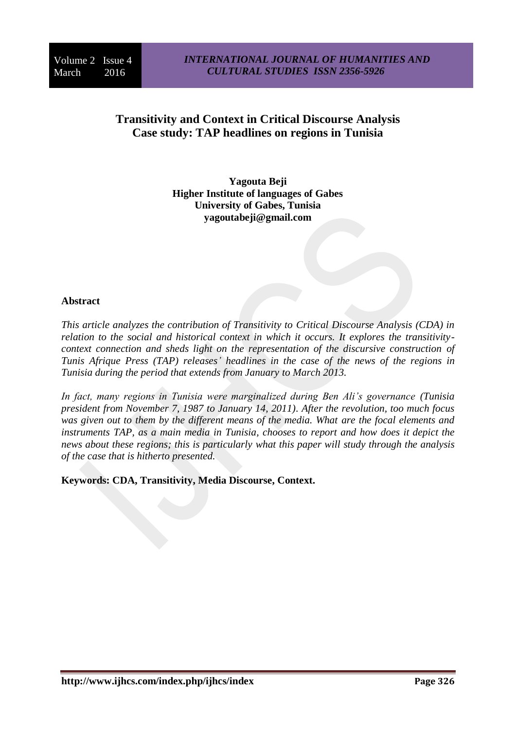# **Transitivity and Context in Critical Discourse Analysis Case study: TAP headlines on regions in Tunisia**

**Yagouta Beji Higher Institute of languages of Gabes University of Gabes, Tunisia yagoutabeji@gmail.com**

# **Abstract**

*This article analyzes the contribution of Transitivity to Critical Discourse Analysis (CDA) in relation to the social and historical context in which it occurs. It explores the transitivitycontext connection and sheds light on the representation of the discursive construction of Tunis Afrique Press (TAP) releases' headlines in the case of the news of the regions in Tunisia during the period that extends from January to March 2013.*

*In fact, many regions in Tunisia were marginalized during Ben Ali's governance (Tunisia president from November 7, 1987 to January 14, 2011). After the revolution, too much focus was given out to them by the different means of the media. What are the focal elements and instruments TAP, as a main media in Tunisia, chooses to report and how does it depict the news about these regions; this is particularly what this paper will study through the analysis of the case that is hitherto presented.* 

**Keywords: CDA, Transitivity, Media Discourse, Context.**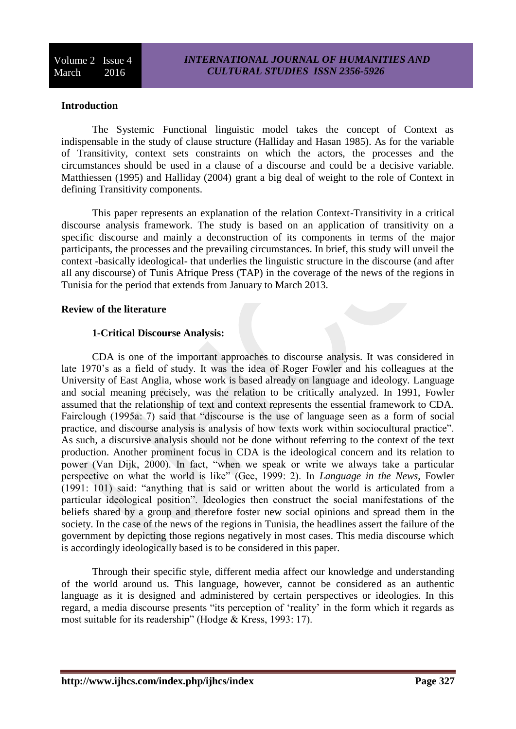#### **Introduction**

The Systemic Functional linguistic model takes the concept of Context as indispensable in the study of clause structure (Halliday and Hasan 1985). As for the variable of Transitivity, context sets constraints on which the actors, the processes and the circumstances should be used in a clause of a discourse and could be a decisive variable. Matthiessen (1995) and Halliday (2004) grant a big deal of weight to the role of Context in defining Transitivity components.

This paper represents an explanation of the relation Context-Transitivity in a critical discourse analysis framework. The study is based on an application of transitivity on a specific discourse and mainly a deconstruction of its components in terms of the major participants, the processes and the prevailing circumstances. In brief, this study will unveil the context -basically ideological- that underlies the linguistic structure in the discourse (and after all any discourse) of Tunis Afrique Press (TAP) in the coverage of the news of the regions in Tunisia for the period that extends from January to March 2013.

#### **Review of the literature**

#### **1-Critical Discourse Analysis:**

CDA is one of the important approaches to discourse analysis. It was considered in late 1970's as a field of study. It was the idea of Roger Fowler and his colleagues at the University of East Anglia, whose work is based already on language and ideology. Language and social meaning precisely, was the relation to be critically analyzed. In 1991, Fowler assumed that the relationship of text and context represents the essential framework to CDA. Fairclough (1995a: 7) said that "discourse is the use of language seen as a form of social practice, and discourse analysis is analysis of how texts work within sociocultural practice". As such, a discursive analysis should not be done without referring to the context of the text production. Another prominent focus in CDA is the ideological concern and its relation to power (Van Dijk, 2000). In fact, "when we speak or write we always take a particular perspective on what the world is like" (Gee, 1999: 2). In *Language in the News*, Fowler (1991: 101) said: "anything that is said or written about the world is articulated from a particular ideological position". Ideologies then construct the social manifestations of the beliefs shared by a group and therefore foster new social opinions and spread them in the society. In the case of the news of the regions in Tunisia, the headlines assert the failure of the government by depicting those regions negatively in most cases. This media discourse which is accordingly ideologically based is to be considered in this paper.

Through their specific style, different media affect our knowledge and understanding of the world around us. This language, however, cannot be considered as an authentic language as it is designed and administered by certain perspectives or ideologies. In this regard, a media discourse presents "its perception of 'reality' in the form which it regards as most suitable for its readership" (Hodge & Kress, 1993: 17).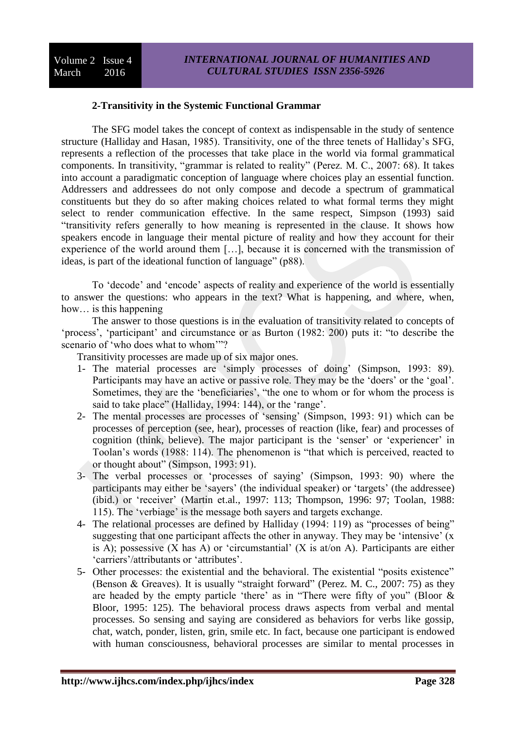### **2-Transitivity in the Systemic Functional Grammar**

The SFG model takes the concept of context as indispensable in the study of sentence structure (Halliday and Hasan, 1985). Transitivity, one of the three tenets of Halliday's SFG, represents a reflection of the processes that take place in the world via formal grammatical components. In transitivity, "grammar is related to reality" (Perez. M. C., 2007: 68). It takes into account a paradigmatic conception of language where choices play an essential function. Addressers and addressees do not only compose and decode a spectrum of grammatical constituents but they do so after making choices related to what formal terms they might select to render communication effective. In the same respect, Simpson (1993) said "transitivity refers generally to how meaning is represented in the clause. It shows how speakers encode in language their mental picture of reality and how they account for their experience of the world around them […], because it is concerned with the transmission of ideas, is part of the ideational function of language" (p88).

To 'decode' and 'encode' aspects of reality and experience of the world is essentially to answer the questions: who appears in the text? What is happening, and where, when, how... is this happening

The answer to those questions is in the evaluation of transitivity related to concepts of 'process', 'participant' and circumstance or as Burton (1982: 200) puts it: "to describe the scenario of 'who does what to whom'"?

Transitivity processes are made up of six major ones.

- 1- The material processes are 'simply processes of doing' (Simpson, 1993: 89). Participants may have an active or passive role. They may be the 'doers' or the 'goal'. Sometimes, they are the 'beneficiaries', "the one to whom or for whom the process is said to take place" (Halliday, 1994: 144), or the 'range'.
- 2- The mental processes are processes of 'sensing' (Simpson, 1993: 91) which can be processes of perception (see, hear), processes of reaction (like, fear) and processes of cognition (think, believe). The major participant is the 'senser' or 'experiencer' in Toolan's words (1988: 114). The phenomenon is "that which is perceived, reacted to or thought about" (Simpson, 1993: 91).
- 3- The verbal processes or 'processes of saying' (Simpson, 1993: 90) where the participants may either be 'sayers' (the individual speaker) or 'targets' (the addressee) (ibid.) or 'receiver' (Martin et.al., 1997: 113; Thompson, 1996: 97; Toolan, 1988: 115). The 'verbiage' is the message both sayers and targets exchange.
- 4- The relational processes are defined by Halliday (1994: 119) as "processes of being" suggesting that one participant affects the other in anyway. They may be 'intensive' (x is A); possessive  $(X \text{ has } A)$  or 'circumstantial'  $(X \text{ is at/or } A)$ . Participants are either 'carriers'/attributants or 'attributes'.
- 5- Other processes: the existential and the behavioral. The existential "posits existence" (Benson & Greaves). It is usually "straight forward" (Perez. M. C., 2007: 75) as they are headed by the empty particle 'there' as in "There were fifty of you" (Bloor & Bloor, 1995: 125). The behavioral process draws aspects from verbal and mental processes. So sensing and saying are considered as behaviors for verbs like gossip, chat, watch, ponder, listen, grin, smile etc. In fact, because one participant is endowed with human consciousness, behavioral processes are similar to mental processes in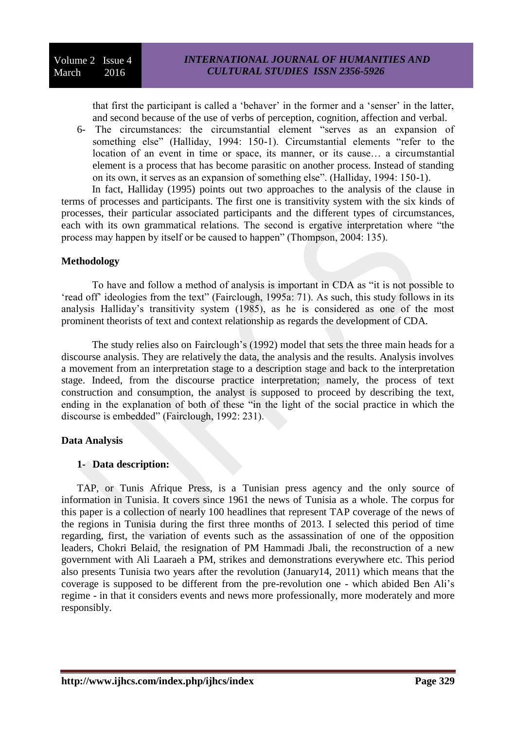that first the participant is called a 'behaver' in the former and a 'senser' in the latter, and second because of the use of verbs of perception, cognition, affection and verbal.

6- The circumstances: the circumstantial element "serves as an expansion of something else" (Halliday, 1994: 150-1). Circumstantial elements "refer to the location of an event in time or space, its manner, or its cause… a circumstantial element is a process that has become parasitic on another process. Instead of standing on its own, it serves as an expansion of something else". (Halliday, 1994: 150-1).

In fact, Halliday (1995) points out two approaches to the analysis of the clause in terms of processes and participants. The first one is transitivity system with the six kinds of processes, their particular associated participants and the different types of circumstances, each with its own grammatical relations. The second is ergative interpretation where "the process may happen by itself or be caused to happen" (Thompson, 2004: 135).

### **Methodology**

To have and follow a method of analysis is important in CDA as "it is not possible to 'read off' ideologies from the text" (Fairclough, 1995a: 71). As such, this study follows in its analysis Halliday's transitivity system (1985), as he is considered as one of the most prominent theorists of text and context relationship as regards the development of CDA.

The study relies also on Fairclough's (1992) model that sets the three main heads for a discourse analysis. They are relatively the data, the analysis and the results. Analysis involves a movement from an interpretation stage to a description stage and back to the interpretation stage. Indeed, from the discourse practice interpretation; namely, the process of text construction and consumption, the analyst is supposed to proceed by describing the text, ending in the explanation of both of these "in the light of the social practice in which the discourse is embedded" (Fairclough, 1992: 231).

# **Data Analysis**

#### **1- Data description:**

TAP, or Tunis Afrique Press, is a Tunisian press agency and the only source of information in Tunisia. It covers since 1961 the news of Tunisia as a whole. The corpus for this paper is a collection of nearly 100 headlines that represent TAP coverage of the news of the regions in Tunisia during the first three months of 2013. I selected this period of time regarding, first, the variation of events such as the assassination of one of the opposition leaders, Chokri Belaid, the resignation of PM Hammadi Jbali, the reconstruction of a new government with Ali Laaraeh a PM, strikes and demonstrations everywhere etc. This period also presents Tunisia two years after the revolution (January14, 2011) which means that the coverage is supposed to be different from the pre-revolution one - which abided Ben Ali's regime - in that it considers events and news more professionally, more moderately and more responsibly.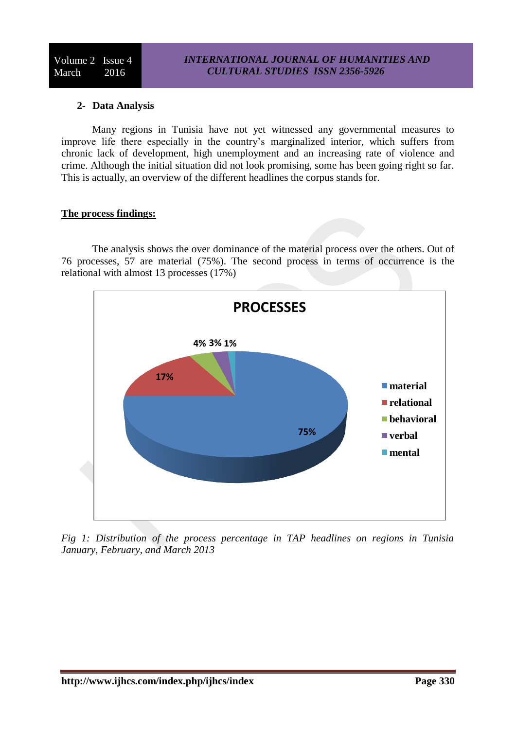# **2- Data Analysis**

Many regions in Tunisia have not yet witnessed any governmental measures to improve life there especially in the country's marginalized interior, which suffers from chronic lack of development, high unemployment and an increasing rate of violence and crime. Although the initial situation did not look promising, some has been going right so far. This is actually, an overview of the different headlines the corpus stands for.

#### **The process findings:**

The analysis shows the over dominance of the material process over the others. Out of 76 processes, 57 are material (75%). The second process in terms of occurrence is the relational with almost 13 processes (17%)



*Fig 1: Distribution of the process percentage in TAP headlines on regions in Tunisia January, February, and March 2013*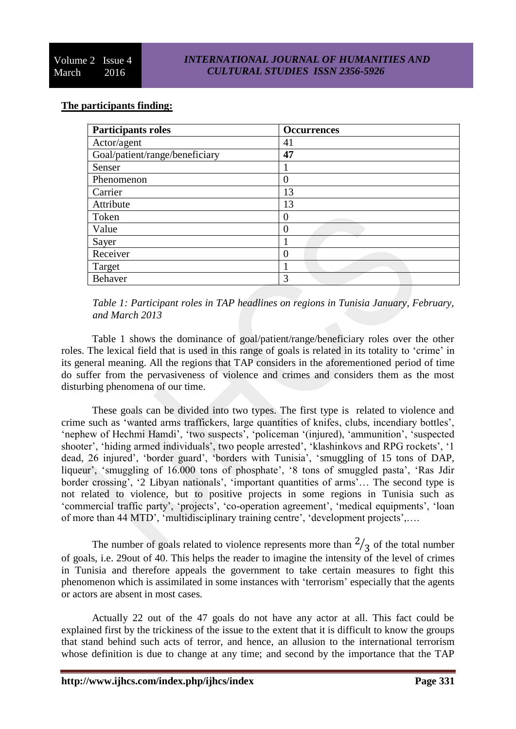# **The participants finding:**

| <b>Participants roles</b>      | <b>Occurrences</b> |
|--------------------------------|--------------------|
| Actor/agent                    | 41                 |
| Goal/patient/range/beneficiary | 47                 |
| Senser                         |                    |
| Phenomenon                     | $\theta$           |
| Carrier                        | 13                 |
| Attribute                      | 13                 |
| Token                          |                    |
| Value                          | 0                  |
| Sayer                          |                    |
| Receiver                       | $\Omega$           |
| Target                         |                    |
| <b>Behaver</b>                 | 3                  |

*Table 1: Participant roles in TAP headlines on regions in Tunisia January, February, and March 2013*

Table 1 shows the dominance of goal/patient/range/beneficiary roles over the other roles. The lexical field that is used in this range of goals is related in its totality to 'crime' in its general meaning. All the regions that TAP considers in the aforementioned period of time do suffer from the pervasiveness of violence and crimes and considers them as the most disturbing phenomena of our time.

These goals can be divided into two types. The first type is related to violence and crime such as 'wanted arms traffickers, large quantities of knifes, clubs, incendiary bottles', 'nephew of Hechmi Hamdi', 'two suspects', 'policeman '(injured), 'ammunition', 'suspected shooter', 'hiding armed individuals', two people arrested', 'klashinkovs and RPG rockets', '1 dead, 26 injured', 'border guard', 'borders with Tunisia', 'smuggling of 15 tons of DAP, liqueur', 'smuggling of 16.000 tons of phosphate', '8 tons of smuggled pasta', 'Ras Jdir border crossing', '2 Libyan nationals', 'important quantities of arms'… The second type is not related to violence, but to positive projects in some regions in Tunisia such as 'commercial traffic party', 'projects', 'co-operation agreement', 'medical equipments', 'loan of more than 44 MTD', 'multidisciplinary training centre', 'development projects',….

The number of goals related to violence represents more than  $\frac{2}{3}$  of the total number of goals, i.e. 29out of 40. This helps the reader to imagine the intensity of the level of crimes in Tunisia and therefore appeals the government to take certain measures to fight this phenomenon which is assimilated in some instances with 'terrorism' especially that the agents or actors are absent in most cases.

Actually 22 out of the 47 goals do not have any actor at all. This fact could be explained first by the trickiness of the issue to the extent that it is difficult to know the groups that stand behind such acts of terror, and hence, an allusion to the international terrorism whose definition is due to change at any time; and second by the importance that the TAP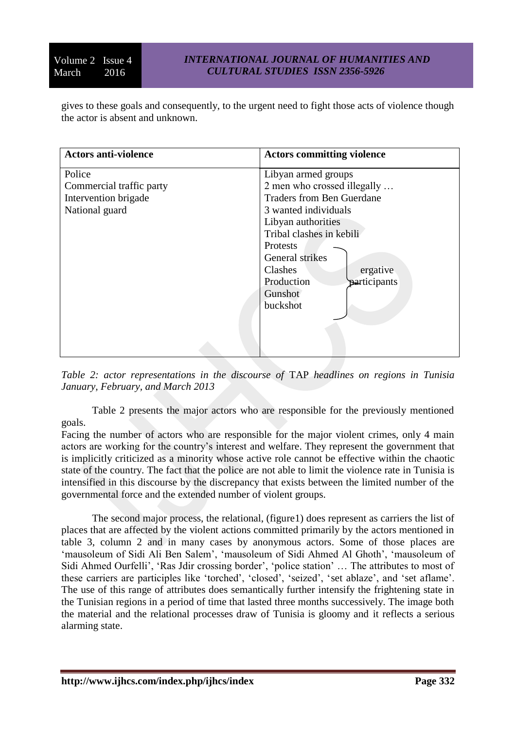gives to these goals and consequently, to the urgent need to fight those acts of violence though the actor is absent and unknown.

| <b>Actors anti-violence</b> | <b>Actors committing violence</b> |
|-----------------------------|-----------------------------------|
| Police                      | Libyan armed groups               |
| Commercial traffic party    | 2 men who crossed illegally       |
| Intervention brigade        | <b>Traders from Ben Guerdane</b>  |
| National guard              | 3 wanted individuals              |
|                             | Libyan authorities                |
|                             | Tribal clashes in kebili          |
|                             | Protests                          |
|                             | General strikes                   |
|                             | Clashes<br>ergative               |
|                             | Production<br>participants        |
|                             | Gunshot                           |
|                             | buckshot                          |
|                             |                                   |
|                             |                                   |
|                             |                                   |

*Table 2: actor representations in the discourse of* TAP *headlines on regions in Tunisia January, February, and March 2013*

Table 2 presents the major actors who are responsible for the previously mentioned goals.

Facing the number of actors who are responsible for the major violent crimes, only 4 main actors are working for the country's interest and welfare. They represent the government that is implicitly criticized as a minority whose active role cannot be effective within the chaotic state of the country. The fact that the police are not able to limit the violence rate in Tunisia is intensified in this discourse by the discrepancy that exists between the limited number of the governmental force and the extended number of violent groups.

The second major process, the relational, (figure1) does represent as carriers the list of places that are affected by the violent actions committed primarily by the actors mentioned in table 3, column 2 and in many cases by anonymous actors. Some of those places are 'mausoleum of Sidi Ali Ben Salem', 'mausoleum of Sidi Ahmed Al Ghoth', 'mausoleum of Sidi Ahmed Ourfelli', 'Ras Jdir crossing border', 'police station' … The attributes to most of these carriers are participles like 'torched', 'closed', 'seized', 'set ablaze', and 'set aflame'. The use of this range of attributes does semantically further intensify the frightening state in the Tunisian regions in a period of time that lasted three months successively. The image both the material and the relational processes draw of Tunisia is gloomy and it reflects a serious alarming state.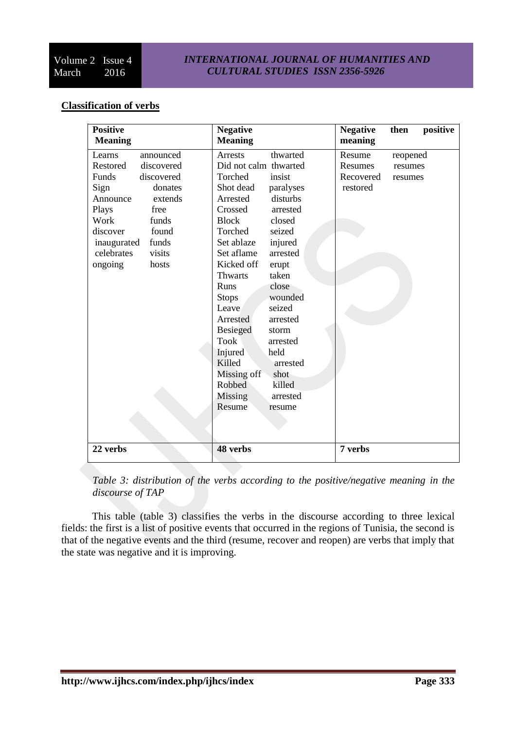### *INTERNATIONAL JOURNAL OF HUMANITIES AND CULTURAL STUDIES ISSN 2356-5926*

# **Classification of verbs**

*Table 3: distribution of the verbs according to the positive/negative meaning in the discourse of TAP*

This table (table 3) classifies the verbs in the discourse according to three lexical fields: the first is a list of positive events that occurred in the regions of Tunisia, the second is that of the negative events and the third (resume, recover and reopen) are verbs that imply that the state was negative and it is improving.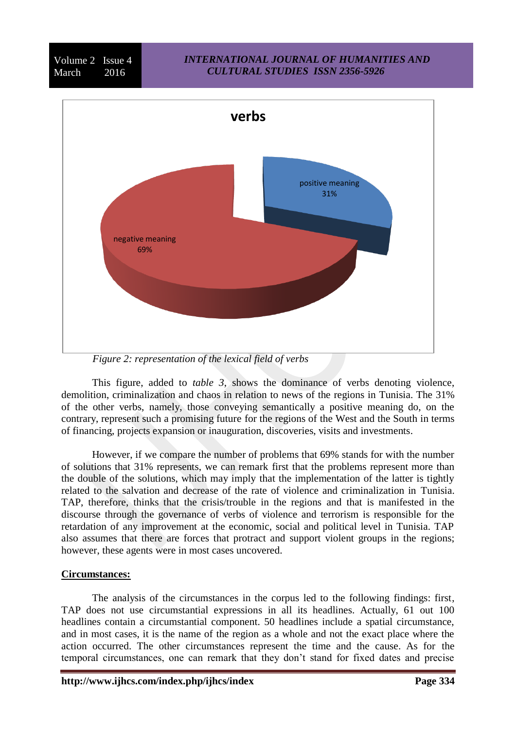#### *INTERNATIONAL JOURNAL OF HUMANITIES AND CULTURAL STUDIES ISSN 2356-5926*



*Figure 2: representation of the lexical field of verbs*

This figure, added to *table 3*, shows the dominance of verbs denoting violence, demolition, criminalization and chaos in relation to news of the regions in Tunisia. The 31% of the other verbs, namely, those conveying semantically a positive meaning do, on the contrary, represent such a promising future for the regions of the West and the South in terms of financing, projects expansion or inauguration, discoveries, visits and investments.

However, if we compare the number of problems that 69% stands for with the number of solutions that 31% represents, we can remark first that the problems represent more than the double of the solutions, which may imply that the implementation of the latter is tightly related to the salvation and decrease of the rate of violence and criminalization in Tunisia. TAP, therefore, thinks that the crisis/trouble in the regions and that is manifested in the discourse through the governance of verbs of violence and terrorism is responsible for the retardation of any improvement at the economic, social and political level in Tunisia. TAP also assumes that there are forces that protract and support violent groups in the regions; however, these agents were in most cases uncovered.

# **Circumstances:**

Volume 2 Issue 4 March 2016

The analysis of the circumstances in the corpus led to the following findings: first, TAP does not use circumstantial expressions in all its headlines. Actually, 61 out 100 headlines contain a circumstantial component. 50 headlines include a spatial circumstance, and in most cases, it is the name of the region as a whole and not the exact place where the action occurred. The other circumstances represent the time and the cause. As for the temporal circumstances, one can remark that they don't stand for fixed dates and precise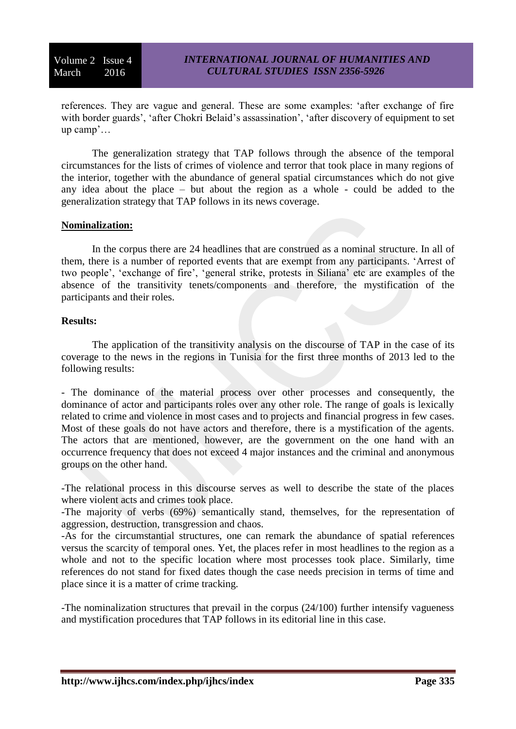references. They are vague and general. These are some examples: 'after exchange of fire with border guards', 'after Chokri Belaid's assassination', 'after discovery of equipment to set up camp'…

The generalization strategy that TAP follows through the absence of the temporal circumstances for the lists of crimes of violence and terror that took place in many regions of the interior, together with the abundance of general spatial circumstances which do not give any idea about the place – but about the region as a whole - could be added to the generalization strategy that TAP follows in its news coverage.

### **Nominalization:**

In the corpus there are 24 headlines that are construed as a nominal structure. In all of them, there is a number of reported events that are exempt from any participants. 'Arrest of two people', 'exchange of fire', 'general strike, protests in Siliana' etc are examples of the absence of the transitivity tenets/components and therefore, the mystification of the participants and their roles.

#### **Results:**

The application of the transitivity analysis on the discourse of TAP in the case of its coverage to the news in the regions in Tunisia for the first three months of 2013 led to the following results:

- The dominance of the material process over other processes and consequently, the dominance of actor and participants roles over any other role. The range of goals is lexically related to crime and violence in most cases and to projects and financial progress in few cases. Most of these goals do not have actors and therefore, there is a mystification of the agents. The actors that are mentioned, however, are the government on the one hand with an occurrence frequency that does not exceed 4 major instances and the criminal and anonymous groups on the other hand.

-The relational process in this discourse serves as well to describe the state of the places where violent acts and crimes took place.

-The majority of verbs (69%) semantically stand, themselves, for the representation of aggression, destruction, transgression and chaos.

-As for the circumstantial structures, one can remark the abundance of spatial references versus the scarcity of temporal ones. Yet, the places refer in most headlines to the region as a whole and not to the specific location where most processes took place. Similarly, time references do not stand for fixed dates though the case needs precision in terms of time and place since it is a matter of crime tracking.

-The nominalization structures that prevail in the corpus (24/100) further intensify vagueness and mystification procedures that TAP follows in its editorial line in this case.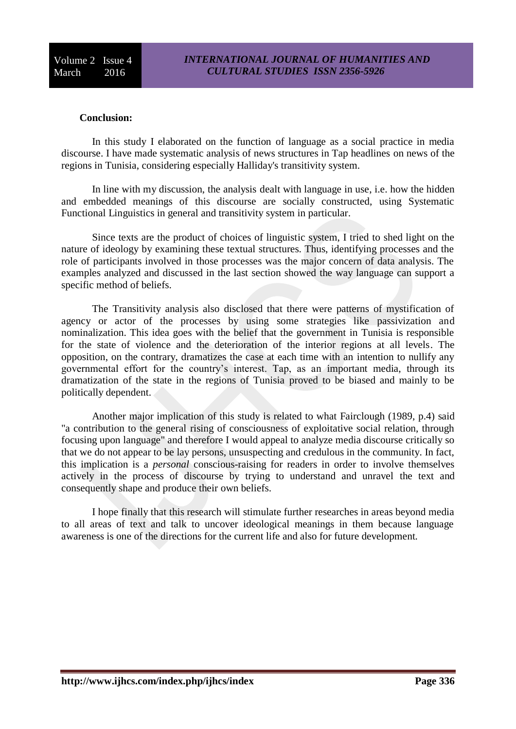#### **Conclusion:**

In this study I elaborated on the function of language as a social practice in media discourse. I have made systematic analysis of news structures in Tap headlines on news of the regions in Tunisia, considering especially Halliday's transitivity system.

In line with my discussion, the analysis dealt with language in use, i.e. how the hidden and embedded meanings of this discourse are socially constructed, using Systematic Functional Linguistics in general and transitivity system in particular.

Since texts are the product of choices of linguistic system, I tried to shed light on the nature of ideology by examining these textual structures. Thus, identifying processes and the role of participants involved in those processes was the major concern of data analysis. The examples analyzed and discussed in the last section showed the way language can support a specific method of beliefs.

The Transitivity analysis also disclosed that there were patterns of mystification of agency or actor of the processes by using some strategies like passivization and nominalization. This idea goes with the belief that the government in Tunisia is responsible for the state of violence and the deterioration of the interior regions at all levels. The opposition, on the contrary, dramatizes the case at each time with an intention to nullify any governmental effort for the country's interest. Tap, as an important media, through its dramatization of the state in the regions of Tunisia proved to be biased and mainly to be politically dependent.

Another major implication of this study is related to what Fairclough (1989, p.4) said "a contribution to the general rising of consciousness of exploitative social relation, through focusing upon language" and therefore I would appeal to analyze media discourse critically so that we do not appear to be lay persons, unsuspecting and credulous in the community. In fact, this implication is a *personal* conscious-raising for readers in order to involve themselves actively in the process of discourse by trying to understand and unravel the text and consequently shape and produce their own beliefs.

I hope finally that this research will stimulate further researches in areas beyond media to all areas of text and talk to uncover ideological meanings in them because language awareness is one of the directions for the current life and also for future development.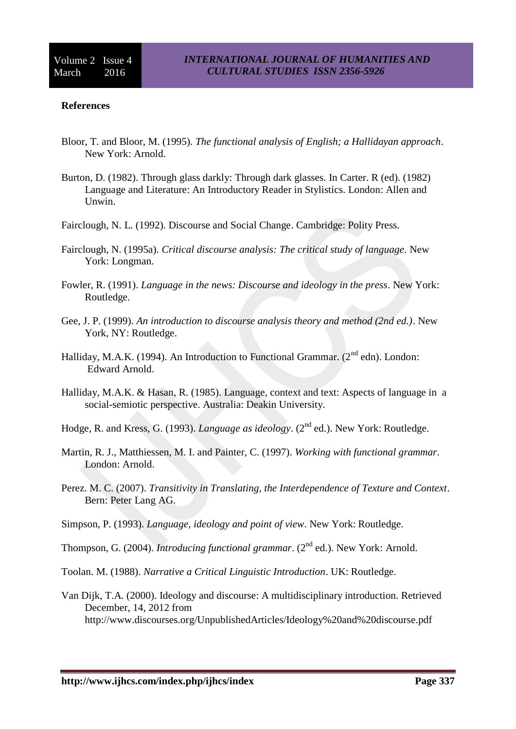#### **References**

- Bloor, T. and Bloor, M. (1995). *The functional analysis of English; a Hallidayan approach*. New York: Arnold.
- Burton, D. (1982). Through glass darkly: Through dark glasses. In Carter. R (ed). (1982) Language and Literature: An Introductory Reader in Stylistics. London: Allen and Unwin.
- Fairclough, N. L. (1992). Discourse and Social Change. Cambridge: Polity Press.
- Fairclough, N. (1995a). *Critical discourse analysis: The critical study of language.* New York: Longman.
- Fowler, R. (1991). *Language in the news: Discourse and ideology in the press*. New York: Routledge.
- Gee, J. P. (1999). *An introduction to discourse analysis theory and method (2nd ed.)*. New York, NY: Routledge.
- Halliday, M.A.K. (1994). An Introduction to Functional Grammar. ( $2<sup>nd</sup>$  edn). London: Edward Arnold.
- Halliday, M.A.K. & Hasan, R. (1985). Language, context and text: Aspects of language in a social-semiotic perspective. Australia: Deakin University.
- Hodge, R. and Kress, G. (1993). *Language as ideology*. (2<sup>nd</sup> ed.). New York: Routledge.
- Martin, R. J., Matthiessen, M. I. and Painter, C. (1997). *Working with functional grammar*. London: Arnold.
- Perez. M. C. (2007). *Transitivity in Translating, the Interdependence of Texture and Context*. Bern: Peter Lang AG.
- Simpson, P. (1993). *Language, ideology and point of view*. New York: Routledge.
- Thompson, G. (2004). *Introducing functional grammar*. (2<sup>nd</sup> ed.). New York: Arnold.
- Toolan. M. (1988). *Narrative a Critical Linguistic Introduction*. UK: Routledge.
- Van Dijk, T.A. (2000). Ideology and discourse: A multidisciplinary introduction. Retrieved December, 14, 2012 from <http://www.discourses.org/UnpublishedArticles/Ideology%20and%20discourse.pdf>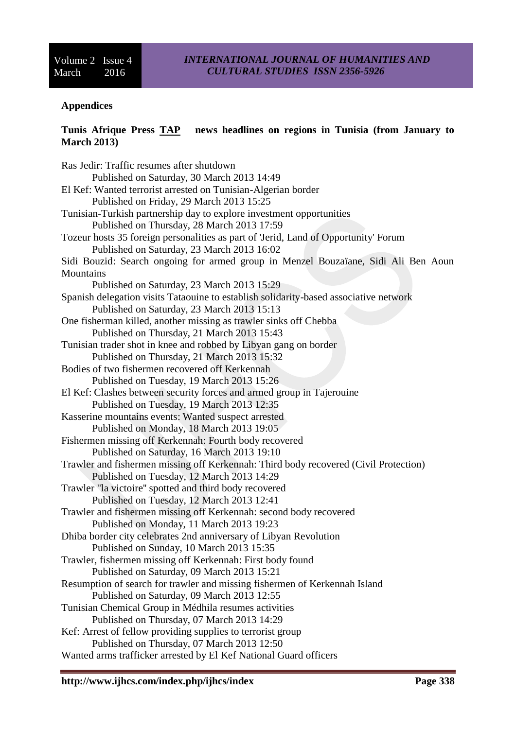### **Appendices**

# **Tunis Afrique Press TAP news headlines on regions in Tunisia (from January to March 2013)**

[Ras Jedir: Traffic resumes after shutdown](http://www.tap.info.tn/en/index.php/regions/6883-ras-jedir-traffic-resumes-after-shutdown)  Published on Saturday, 30 March 2013 14:49 [El Kef: Wanted terrorist arrested on Tunisian-Algerian border](http://www.tap.info.tn/en/index.php/regions/6852-el-kef-wanted-terrorist-arrested-on-tunisian-algerian-border)  Published on Friday, 29 March 2013 15:25 [Tunisian-Turkish partnership day to explore investment opportunities](http://www.tap.info.tn/en/index.php/regions/6832-tunisian-turkish-partnership-day-to-explore-investment-opportunities) Published on Thursday, 28 March 2013 17:59 [Tozeur hosts 35 foreign personalities as part of 'Jerid, Land of Opportunity' Forum](http://www.tap.info.tn/en/index.php/regions/6695-tozeur-hosts-35-foreign-personalities-as-part-of-jerid-land-of-opportunity-forum) Published on Saturday, 23 March 2013 16:02 [Sidi Bouzid: Search ongoing for armed group in Menzel Bouzaïane, Sidi Ali Ben Aoun](http://www.tap.info.tn/en/index.php/regions/6694-sidi-bouzid-search-ongoing-for-armed-group-in-menzel-bouzaiane-sidi-ali-ben-aoun-mountains)  **[Mountains](http://www.tap.info.tn/en/index.php/regions/6694-sidi-bouzid-search-ongoing-for-armed-group-in-menzel-bouzaiane-sidi-ali-ben-aoun-mountains)** Published on Saturday, 23 March 2013 15:29 [Spanish delegation visits Tataouine to establish solidarity-based associative network](http://www.tap.info.tn/en/index.php/regions/6691-spanish-delegation-visits-tataouine-to-establish-solidarity-based-associative-network)  Published on Saturday, 23 March 2013 15:13 [One fisherman killed, another missing as trawler sinks off Chebba](http://www.tap.info.tn/en/index.php/regions/6639-one-fisherman-killed-another-missing-as-trawler-sinks-off-chebba)  Published on Thursday, 21 March 2013 15:43 [Tunisian trader shot in knee and robbed by Libyan gang on border](http://www.tap.info.tn/en/index.php/regions/6637-tunisian-trader-shot-in-knee-and-robbed-by-libyan-gang-on-border) Published on Thursday, 21 March 2013 15:32 [Bodies of two fishermen recovered off Kerkennah](http://www.tap.info.tn/en/index.php/regions/6585-bodies-of-two-fishermen-recovered-off-kerkennah)  Published on Tuesday, 19 March 2013 15:26 [El Kef: Clashes between security forces and armed group in Tajerouine](http://www.tap.info.tn/en/index.php/regions/6579-el-kef-clashes-between-security-forces-and-armed-group-in-tajerouine) Published on Tuesday, 19 March 2013 12:35 [Kasserine mountains events: Wanted suspect arrested](http://www.tap.info.tn/en/index.php/regions/6567-kasserine-mountains-events-wanted-suspect-arrested) Published on Monday, 18 March 2013 19:05 [Fishermen missing off Kerkennah: Fourth body recovered](http://www.tap.info.tn/en/index.php/regions/6531-fishermen-missing-off-kerkennah-fourth-body-recovered) Published on Saturday, 16 March 2013 19:10 [Trawler and fishermen missing off Kerkennah: Third body recovered \(Civil Protection\)](http://www.tap.info.tn/en/index.php/regions/6398-trawler-and-fishermen-missing-off-kerkennah-third-body-recovered-civil-protection) Published on Tuesday, 12 March 2013 14:29 [Trawler "la victoire'' spotted and third body recovered](http://www.tap.info.tn/en/index.php/regions/6396-trawler-la-victoire-spotted-and-third-body-recovered) Published on Tuesday, 12 March 2013 12:41 [Trawler and fishermen missing off Kerkennah: second body recovered](http://www.tap.info.tn/en/index.php/regions/6387-trawler-and-fishermen-missing-off-kerkennah-second-body-recovered) Published on Monday, 11 March 2013 19:23 [Dhiba border city celebrates 2nd anniversary of Libyan Revolution](http://www.tap.info.tn/en/index.php/regions/6353-dhiba-border-city-celebrates-2nd-anniversary-of-libyan-revolution)  Published on Sunday, 10 March 2013 15:35 [Trawler, fishermen missing off Kerkennah: First body found](http://www.tap.info.tn/en/index.php/regions/6333-trawler-fishermen-missing-off-kerkennah-first-body-found) Published on Saturday, 09 March 2013 15:21 [Resumption of search for trawler and missing fishermen of Kerkennah Island](http://www.tap.info.tn/en/index.php/regions/6326-resumption-of-search-for-trawler-and-missing-fishermen-of-kerkennah-island) Published on Saturday, 09 March 2013 12:55 [Tunisian Chemical Group in Médhila resumes activities](http://www.tap.info.tn/en/index.php/regions/6278-tunisian-chemical-group-in-medhila-resumes-activities) Published on Thursday, 07 March 2013 14:29 [Kef: Arrest of fellow providing supplies to terrorist group](http://www.tap.info.tn/en/index.php/regions/6274-kef-arrest-of-fellow-providing-supplies-to-terrorist-group)  Published on Thursday, 07 March 2013 12:50 [Wanted arms trafficker arrested by El Kef National Guard officers](http://www.tap.info.tn/en/index.php/regions/6245-wanted-arms-trafficker-arrested-by-el-kef-national-guard-officers)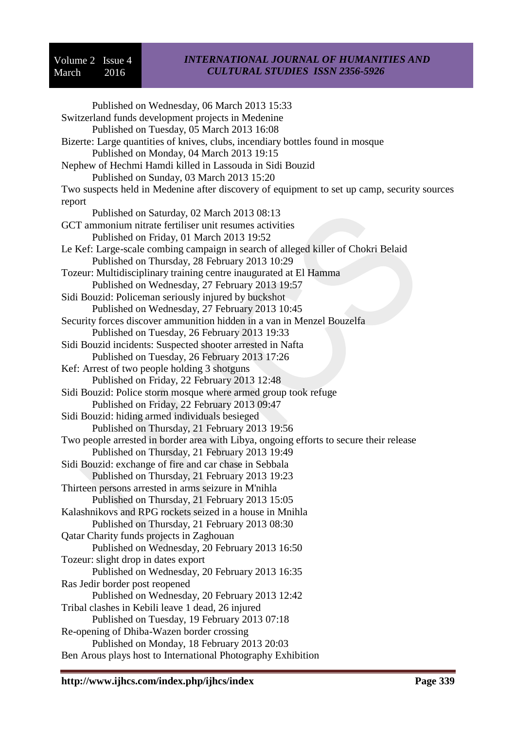### *INTERNATIONAL JOURNAL OF HUMANITIES AND CULTURAL STUDIES ISSN 2356-5926*

Published on Wednesday, 06 March 2013 15:33 [Switzerland funds development projects in Medenine](http://www.tap.info.tn/en/index.php/regions/6220-switzerland-funds-development-projects-in-medenine) Published on Tuesday, 05 March 2013 16:08 [Bizerte: Large quantities of knives, clubs, incendiary bottles found in mosque](http://www.tap.info.tn/en/index.php/regions/6198-bizerte-large-quantities-of-knives-clubs-incendiary-bottles-found-in-mosque)  Published on Monday, 04 March 2013 19:15 [Nephew of Hechmi Hamdi killed in Lassouda in Sidi Bouzid](http://www.tap.info.tn/en/index.php/regions/6166-nephew-of-hechmi-hamdi-killed-in-lassouda-in-sidi-bouzid) Published on Sunday, 03 March 2013 15:20 [Two suspects held in Medenine after discovery of equipment to set up camp, security sources](http://www.tap.info.tn/en/index.php/regions/6118-two-suspects-held-in-medenine-after-discovery-of-equipment-to-set-up-camp-security-sources-report) [report](http://www.tap.info.tn/en/index.php/regions/6118-two-suspects-held-in-medenine-after-discovery-of-equipment-to-set-up-camp-security-sources-report) Published on Saturday, 02 March 2013 08:13 [GCT ammonium nitrate fertiliser unit resumes activities](http://www.tap.info.tn/en/index.php/regions/6113-gct-ammonium-nitrate-fertiliser-unit-resumes-activities) Published on Friday, 01 March 2013 19:52 [Le Kef: Large-scale combing campaign in search of alleged killer of Chokri Belaid](http://www.tap.info.tn/en/index.php/regions/6071-le-kef-large-scale-combing-campaign-in-search-of-alleged-killer-of-chokri-belaid) Published on Thursday, 28 February 2013 10:29 [Tozeur: Multidisciplinary training centre inaugurated at El Hamma](http://www.tap.info.tn/en/index.php/regions/6064-tozeur-multidisciplinary-training-centre-inaugurated-at-el-hamma) Published on Wednesday, 27 February 2013 19:57 [Sidi Bouzid: Policeman seriously injured by buckshot](http://www.tap.info.tn/en/index.php/regions/6040-sidi-bouzid-policeman-seriously-injured-by-buckshot) Published on Wednesday, 27 February 2013 10:45 [Security forces discover ammunition hidden in a van in Menzel Bouzelfa](http://www.tap.info.tn/en/index.php/regions/6031-security-forces-discover-ammunition-hidden-in-a-van-in-menzel-bouzelfa) Published on Tuesday, 26 February 2013 19:33 [Sidi Bouzid incidents: Suspected shooter arrested in Nafta](http://www.tap.info.tn/en/index.php/regions/6023-sidi-bouzid-incidents-suspected-shooter-arrested-in-nafta) Published on Tuesday, 26 February 2013 17:26 [Kef: Arrest of two people holding 3 shotguns](http://www.tap.info.tn/en/index.php/regions/5942-kef-arrest-of-two-people-holding-3-shotguns) Published on Friday, 22 February 2013 12:48 [Sidi Bouzid: Police storm mosque where armed group took refuge](http://www.tap.info.tn/en/index.php/regions/5937-sidi-bouzid-police-storm-mosque-where-armed-group-took-refuge)  Published on Friday, 22 February 2013 09:47 [Sidi Bouzid: hiding armed individuals besieged](http://www.tap.info.tn/en/index.php/regions/5930-sidi-bouzid-hiding-armed-individuals-besieged)  Published on Thursday, 21 February 2013 19:56 [Two people arrested in border area with Libya, ongoing efforts to secure their release](http://www.tap.info.tn/en/index.php/regions/5929-two-people-arrested-in-border-area-with-libya-ongoing-efforts-to-secure-their-release) Published on Thursday, 21 February 2013 19:49 [Sidi Bouzid: exchange of fire and car chase in Sebbala](http://www.tap.info.tn/en/index.php/regions/5927-sidi-bouzid-exchange-of-fire-and-car-chase-in-sebbala) Published on Thursday, 21 February 2013 19:23 [Thirteen persons arrested in arms seizure in M'nihla](http://www.tap.info.tn/en/index.php/regions/5915-thirteen-persons-arrested-in-arms-seizure-in-m-nihla) Published on Thursday, 21 February 2013 15:05 [Kalashnikovs and RPG rockets seized in a house in Mnihla](http://www.tap.info.tn/en/index.php/regions/5904-kalashnikovs-and-rpg-rockets-seized-in-a-house-in-mnihla) Published on Thursday, 21 February 2013 08:30 [Qatar Charity funds projects in Zaghouan](http://www.tap.info.tn/en/index.php/regions/5895-qatar-foundation-funds-projects-in-zaghouan) Published on Wednesday, 20 February 2013 16:50 [Tozeur: slight drop in dates export](http://www.tap.info.tn/en/index.php/regions/5891-tozeur-slight-drop-in-dates-export) Published on Wednesday, 20 February 2013 16:35 [Ras Jedir border post reopened](http://www.tap.info.tn/en/index.php/regions/5883-ras-jedir-border-post-reopened) Published on Wednesday, 20 February 2013 12:42 [Tribal clashes in Kebili leave 1 dead, 26 injured](http://www.tap.info.tn/en/index.php/regions/5838-tribal-clashes-in-kebili-leave-1-dead-26-injured)  Published on Tuesday, 19 February 2013 07:18 [Re-opening of Dhiba-Wazen border crossing](http://www.tap.info.tn/en/index.php/regions/5832-re-opening-of-dhiba-wazen-border-crossing)  Published on Monday, 18 February 2013 20:03 [Ben Arous plays host to International Photography Exhibition](http://www.tap.info.tn/en/index.php/regions/5793-ben-arous-plays-host-to-international-photography-exhibition)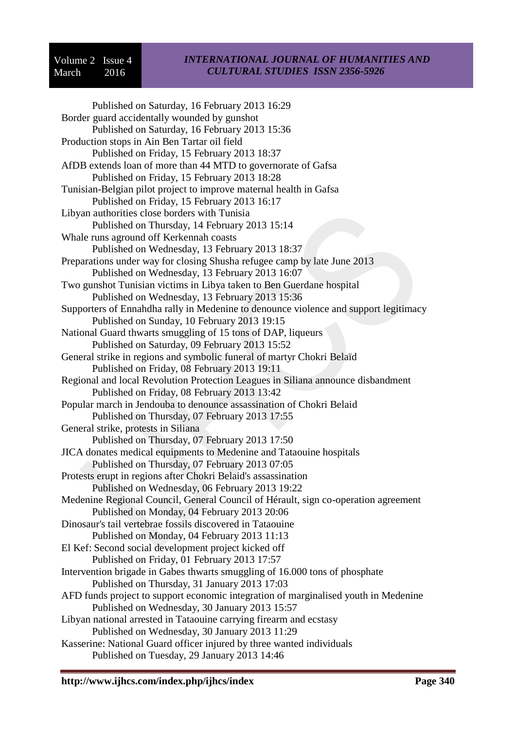### *INTERNATIONAL JOURNAL OF HUMANITIES AND CULTURAL STUDIES ISSN 2356-5926*

Published on Saturday, 16 February 2013 16:29 [Border guard accidentally wounded by gunshot](http://www.tap.info.tn/en/index.php/regions/5789-border-guard-accidentally-wounded-by-gunshot) Published on Saturday, 16 February 2013 15:36 [Production stops in Ain Ben Tartar oil field](http://www.tap.info.tn/en/index.php/regions/5770-production-stops-in-ain-ben-tartar-oil-field) Published on Friday, 15 February 2013 18:37 [AfDB extends loan of more than 44 MTD to governorate of Gafsa](http://www.tap.info.tn/en/index.php/regions/5767-afdb-extends-loan-of-more-than-44-mtd-to-governorate-of-gafsa)  Published on Friday, 15 February 2013 18:28 [Tunisian-Belgian pilot project to improve maternal health in Gafsa](http://www.tap.info.tn/en/index.php/regions/5755-tunisian-belgian-pilot-project-to-improve-maternal-health-in-gafsa) Published on Friday, 15 February 2013 16:17 [Libyan authorities close borders with Tunisia](http://www.tap.info.tn/en/index.php/regions/5728-libyan-authorities-close-its-borders-with-tunisia) Published on Thursday, 14 February 2013 15:14 [Whale runs aground off Kerkennah coasts](http://www.tap.info.tn/en/index.php/regions/5699-whale-runs-aground-off-kerkennah-coasts) Published on Wednesday, 13 February 2013 18:37 [Preparations under way for closing Shusha refugee camp by late June 2013](http://www.tap.info.tn/en/index.php/regions/5689-preparations-under-way-for-closing-shusha-refugee-camp-by-late-june-2013) Published on Wednesday, 13 February 2013 16:07 [Two gunshot Tunisian victims in Libya taken to Ben Guerdane hospital](http://www.tap.info.tn/en/index.php/regions/5682-two-gunshot-tunisian-victims-in-libya-taken-to-ben-guerdane-hospital) Published on Wednesday, 13 February 2013 15:36 [Supporters of Ennahdha rally in Medenine to denounce violence and support legitimacy](http://www.tap.info.tn/en/index.php/regions/5551-supporters-of-ennahdha-rally-in-medenine-to-denounce-violence-and-support-legitimacy) Published on Sunday, 10 February 2013 19:15 [National Guard thwarts smuggling of 15 tons of DAP, liqueurs](http://www.tap.info.tn/en/index.php/regions/5517-national-guard-thwarts-smuggling-of-15-tons-of-dap-liqueurs) Published on Saturday, 09 February 2013 15:52 [General strike in regions and symbolic funeral of martyr Chokri Belaïd](http://www.tap.info.tn/en/index.php/regions/5501-general-strike-in-regions-and-symbolic-funeral-of-martyr-chokri-belaid) Published on Friday, 08 February 2013 19:11 [Regional and local Revolution Protection Leagues in Siliana announce disbandment](http://www.tap.info.tn/en/index.php/regions/5485-regional-and-local-revolution-protection-leagues-in-siliana-announce-disbandment)  Published on Friday, 08 February 2013 13:42 [Popular march in Jendouba to denounce assassination of Chokri Belaid](http://www.tap.info.tn/en/index.php/regions/5464-popular-march-in-jendouba-to-denounce-assassination-of-chokri-belaid) Published on Thursday, 07 February 2013 17:55 [General strike, protests in Siliana](http://www.tap.info.tn/en/index.php/regions/5463-general-strike-protests-in-siliana) Published on Thursday, 07 February 2013 17:50 [JICA donates medical equipments to Medenine and Tataouine hospitals](http://www.tap.info.tn/en/index.php/regions/5438-jica-donates-medical-equipments-to-medenine-and-tataouine-hospitals)  Published on Thursday, 07 February 2013 07:05 [Protests erupt in regions after Chokri Belaid's assassination](http://www.tap.info.tn/en/index.php/regions/5420-protests-erupt-in-regions-after-chokri-belaid-s-assassination) Published on Wednesday, 06 February 2013 19:22 [Medenine Regional Council, General Council of Hérault, sign co-operation agreement](http://www.tap.info.tn/en/index.php/regions/5356-medenine-regional-council-general-council-of-herault-sign-co-operation-agreement) Published on Monday, 04 February 2013 20:06 [Dinosaur's tail vertebrae fossils discovered in Tataouine](http://www.tap.info.tn/en/index.php/regions/5331-dinosaur-s-tail-vertebrae-fossils-discovered-in-tataouine) Published on Monday, 04 February 2013 11:13 [El Kef: Second social development project kicked off](http://www.tap.info.tn/en/index.php/regions/5271-el-kef-second-social-development-project-kicked-off) Published on Friday, 01 February 2013 17:57 Intervention brigade in Gabes [thwarts smuggling of 16.000 tons of phosphate](http://www.tap.info.tn/en/index.php/regions/5248-intervention-brigade-in-gabes-thwarts-smuggling-of-16-000-tons-of-phosphate)  Published on Thursday, 31 January 2013 17:03 [AFD funds project to support economic integration of marginalised youth in Medenine](http://www.tap.info.tn/en/index.php/regions/5214-afd-funds-project-to-support-economic-integration-of-marginalised-youth-in-medenine) Published on Wednesday, 30 January 2013 15:57 [Libyan national arrested in Tataouine carrying firearm and ecstasy](http://www.tap.info.tn/en/index.php/regions/5204-libyan-national-arrested-in-tataouine-carrying-firearm-and-ecstasy) Published on Wednesday, 30 January 2013 11:29 Kasserine: National Guard [officer injured by three wanted individuals](http://www.tap.info.tn/en/index.php/regions/5170-kasserine-a-national-guard-officer-injured-by-three-wanted-persons)  Published on Tuesday, 29 January 2013 14:46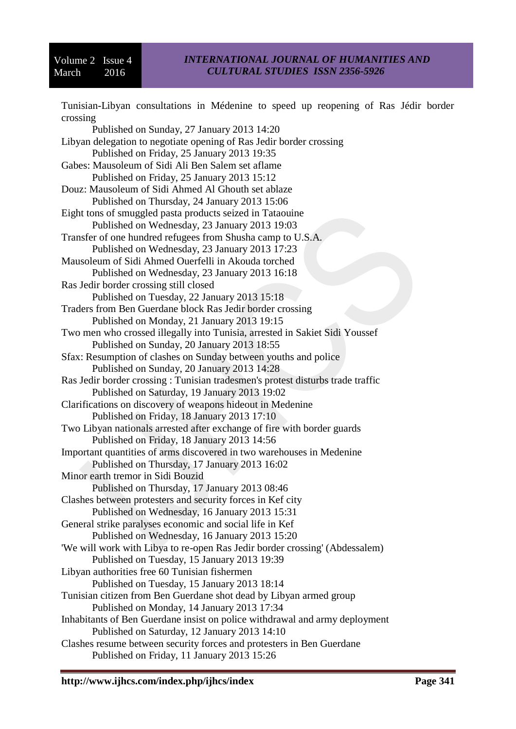### *INTERNATIONAL JOURNAL OF HUMANITIES AND CULTURAL STUDIES ISSN 2356-5926*

[Tunisian-Libyan consultations in Médenine to speed up reopening of Ras Jédir border](http://www.tap.info.tn/en/index.php/regions/5113-bilateral-consultations-in-medenine-to-speed-up-reopening-of-ras-jedir-border-crossing)  [crossing](http://www.tap.info.tn/en/index.php/regions/5113-bilateral-consultations-in-medenine-to-speed-up-reopening-of-ras-jedir-border-crossing) Published on Sunday, 27 January 2013 14:20 [Libyan delegation to negotiate opening of Ras Jedir border crossing](http://www.tap.info.tn/en/index.php/regions/5065-libyan-delegation-to-negotiate-opening-of-ras-jedir-border-crossing)  Published on Friday, 25 January 2013 19:35 [Gabes: Mausoleum of Sidi](http://www.tap.info.tn/en/index.php/regions/5051-gabes-mausoleum-of-sidi-ali-ben-salem-set-aflame) Ali Ben Salem set aflame Published on Friday, 25 January 2013 15:12 [Douz: Mausoleum of Sidi Ahmed Al Ghouth set ablaze](http://www.tap.info.tn/en/index.php/regions/5026-douz-mausoleum-of-sidi-ahmed-al-ghouth-set-ablaze) Published on Thursday, 24 January 2013 15:06 [Eight tons of smuggled pasta products seized in Tataouine](http://www.tap.info.tn/en/index.php/regions/5009-eight-tons-of-smuggled-pasta-products-seized-in-tataouine) Published on Wednesday, 23 January 2013 19:03 [Transfer of one hundred refugees from Shusha camp to U.S.A.](http://www.tap.info.tn/en/index.php/regions/5004-transfer-of-one-hundred-refugees-from-shusha-camp-to-u-s-a)  Published on Wednesday, 23 January 2013 17:23 [Mausoleum of Sidi Ahmed Ouerfelli in Akouda torched](http://www.tap.info.tn/en/index.php/regions/4993-mausoleum-of-sidi-ahmed-ouerfelli-in-akouda-torched)  Published on Wednesday, 23 January 2013 16:18 [Ras Jedir border crossing still closed](http://www.tap.info.tn/en/index.php/regions/4953-ras-jedir-border-crossing-still-closed) Published on Tuesday, 22 January 2013 15:18 [Traders from Ben Guerdane block Ras Jedir border crossing](http://www.tap.info.tn/en/index.php/regions/4925-traders-from-ben-guerdane-block-ras-jedir-border-crossing) Published on Monday, 21 January 2013 19:15 [Two men who crossed illegally into Tunisia, arrested in Sakiet Sidi Youssef](http://www.tap.info.tn/en/index.php/regions/4887-two-men-who-crossed-illegally-into-tunisia-arrested-in-sakiet-sidi-youssef) Published on Sunday, 20 January 2013 18:55 [Sfax: Resumption of clashes on Sunday between youths and police](http://www.tap.info.tn/en/index.php/regions/4877-sfax-resumption-of-clashes-on-sunday-between-youths-and-police) Published on Sunday, 20 January 2013 14:28 [Ras Jedir border crossing : Tunisian tradesmen's protest disturbs trade traffic](http://www.tap.info.tn/en/index.php/regions/4869-ras-jedir-border-crossing-tunisian-tradesmen-s-protest-disturbs-trade-traffic)  Published on Saturday, 19 January 2013 19:02 [Clarifications on discovery of weapons hideout in Medenine](http://www.tap.info.tn/en/index.php/regions/4820-clarifications-on-discovery-of-weapons-hideout-in-medenine)  Published on Friday, 18 January 2013 17:10 [Two Libyan nationals arrested after exchange of fire with border guards](http://www.tap.info.tn/en/index.php/regions/4806-two-libyan-nationals-arrested-after-fire-exchange-with-border-guards) Published on Friday, 18 January 2013 14:56 [Important quantities of arms discovered in two warehouses in Medenine](http://www.tap.info.tn/en/index.php/regions/4770-important-quantities-of-arms-discovered-in-two-warehouses-in-medenine) Published on Thursday, 17 January 2013 16:02 [Minor earth tremor in Sidi Bouzid](http://www.tap.info.tn/en/index.php/regions/4754-minor-earth-tremor-in-sidi-bouzid)  Published on Thursday, 17 January 2013 08:46 [Clashes between protesters and security forces in Kef city](http://www.tap.info.tn/en/index.php/regions/4732-clashes-between-protesters-and-security-forces-in-kef-city)  Published on Wednesday, 16 January 2013 15:31 [General strike paralyses economic and social life in Kef](http://www.tap.info.tn/en/index.php/regions/4728-general-strike-paralyses-economic-and-social-life-in-kef) Published on Wednesday, 16 January 2013 15:20 ['We will work with Libya to re-open Ras Jedir border crossing' \(Abdessalem\)](http://www.tap.info.tn/en/index.php/regions/4699-we-will-work-with-libya-to-re-open-ras-jedir-border-crossing-abdessalem) Published on Tuesday, 15 January 2013 19:39 [Libyan authorities free 60 Tunisian fishermen](http://www.tap.info.tn/en/index.php/regions/4687-libyan-authorities-free-60-tunisian-fishermen) Published on Tuesday, 15 January 2013 18:14 [Tunisian citizen from Ben Guerdane shot dead by Libyan armed group](http://www.tap.info.tn/en/index.php/regions/4638-tunisian-citizen-shot-dead-by-libyan-armed-group) Published on Monday, 14 January 2013 17:34 [Inhabitants of Ben Guerdane insist on police withdrawal and army deployment](http://www.tap.info.tn/en/index.php/regions/4555-inhabitants-of-ben-guerdane-insist-on-police-withdrawal-and-army-deployment)  Published on Saturday, 12 January 2013 14:10 [Clashes resume between security forces and protesters in Ben Guerdane](http://www.tap.info.tn/en/index.php/regions/4517-clashes-resume-between-security-forces-and-protesters-in-ben-guerdane) Published on Friday, 11 January 2013 15:26